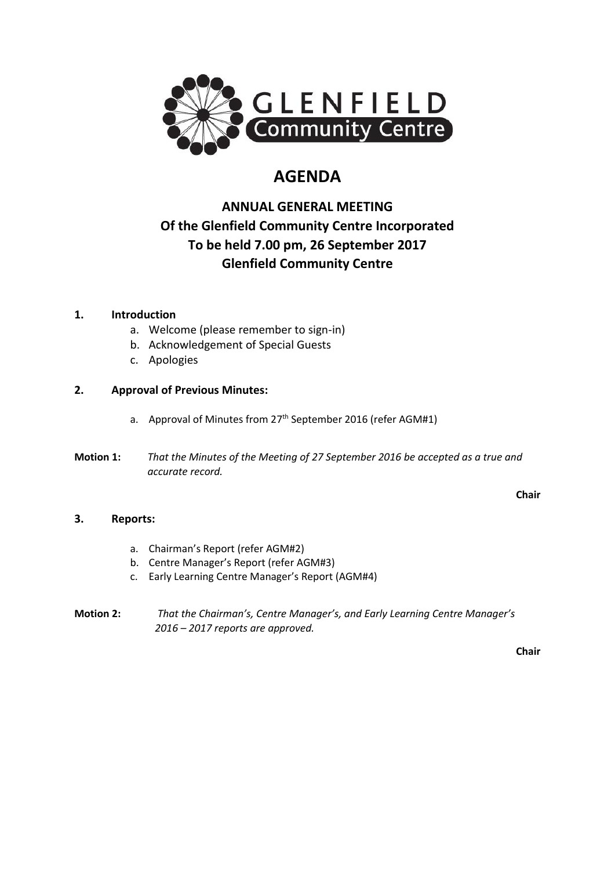

# **AGENDA**

## **ANNUAL GENERAL MEETING Of the Glenfield Community Centre Incorporated To be held 7.00 pm, 26 September 2017 Glenfield Community Centre**

## **1. Introduction**

- a. Welcome (please remember to sign-in)
- b. Acknowledgement of Special Guests
- c. Apologies

## **2. Approval of Previous Minutes:**

- a. Approval of Minutes from 27<sup>th</sup> September 2016 (refer AGM#1)
- **Motion 1:** *That the Minutes of the Meeting of 27 September 2016 be accepted as a true and accurate record.*

**Chair**

## **3. Reports:**

- a. Chairman's Report (refer AGM#2)
- b. Centre Manager's Report (refer AGM#3)
- c. Early Learning Centre Manager's Report (AGM#4)
- **Motion 2:** *That the Chairman's, Centre Manager's, and Early Learning Centre Manager's 2016 – 2017 reports are approved.*

**Chair**